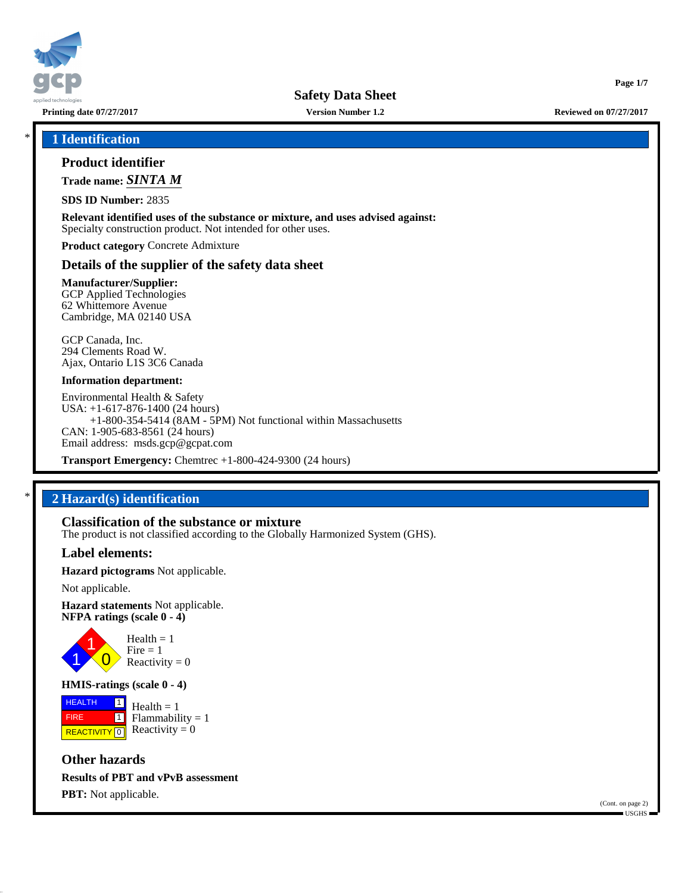

**Printing date 07/27/2017 Version Number 1.2 Reviewed on 07/27/2017**

**Page 1/7**

\* **1 Identification**

## **Product identifier**

**Trade name:** *SINTA M*

**SDS ID Number:** 2835

**Relevant identified uses of the substance or mixture, and uses advised against:** Specialty construction product. Not intended for other uses.

**Product category** Concrete Admixture

## **Details of the supplier of the safety data sheet**

**Manufacturer/Supplier:** GCP Applied Technologies 62 Whittemore Avenue Cambridge, MA 02140 USA

GCP Canada, Inc. 294 Clements Road W. Ajax, Ontario L1S 3C6 Canada

#### **Information department:**

Environmental Health & Safety USA: +1-617-876-1400 (24 hours) +1-800-354-5414 (8AM - 5PM) Not functional within Massachusetts CAN: 1-905-683-8561 (24 hours) Email address: msds.gcp@gcpat.com

**Transport Emergency:** Chemtrec +1-800-424-9300 (24 hours)

## \* **2 Hazard(s) identification**

# **Classification of the substance or mixture**

The product is not classified according to the Globally Harmonized System (GHS).

## **Label elements:**

**Hazard pictograms** Not applicable.

Not applicable.

**Hazard statements** Not applicable. **NFPA ratings (scale 0 - 4)**



**HMIS-ratings (scale 0 - 4)**

**HEALTH**  FIRE **REACTIVITY** 0  $\boxed{1}$  $\overline{\mathbf{1}}$  $Health = 1$  $Flammability = 1$ Reactivity  $= 0$ 

**Other hazards Results of PBT and vPvB assessment PBT:** Not applicable.

(Cont. on page 2) USGHS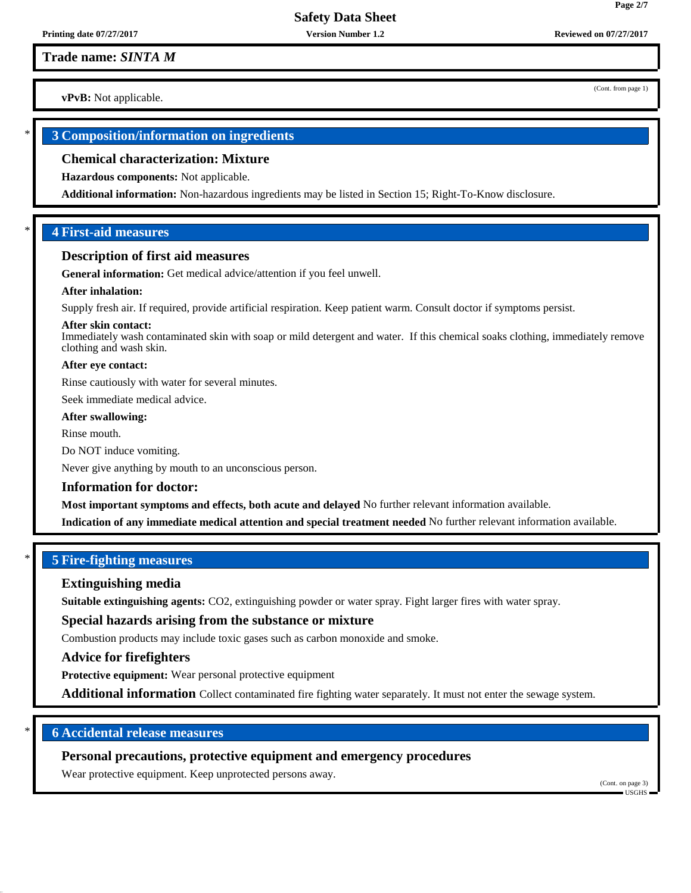**Trade name:** *SINTA M*

**vPvB:** Not applicable.

## \* **3 Composition/information on ingredients**

#### **Chemical characterization: Mixture**

**Hazardous components:** Not applicable.

**Additional information:** Non-hazardous ingredients may be listed in Section 15; Right-To-Know disclosure.

## \* **4 First-aid measures**

#### **Description of first aid measures**

**General information:** Get medical advice/attention if you feel unwell.

#### **After inhalation:**

Supply fresh air. If required, provide artificial respiration. Keep patient warm. Consult doctor if symptoms persist.

#### **After skin contact:**

Immediately wash contaminated skin with soap or mild detergent and water. If this chemical soaks clothing, immediately remove clothing and wash skin.

#### **After eye contact:**

Rinse cautiously with water for several minutes.

Seek immediate medical advice.

## **After swallowing:**

Rinse mouth.

Do NOT induce vomiting.

Never give anything by mouth to an unconscious person.

#### **Information for doctor:**

**Most important symptoms and effects, both acute and delayed** No further relevant information available.

**Indication of any immediate medical attention and special treatment needed** No further relevant information available.

## \* **5 Fire-fighting measures**

#### **Extinguishing media**

**Suitable extinguishing agents:** CO2, extinguishing powder or water spray. Fight larger fires with water spray.

**Special hazards arising from the substance or mixture**

Combustion products may include toxic gases such as carbon monoxide and smoke.

#### **Advice for firefighters**

**Protective equipment:** Wear personal protective equipment

**Additional information** Collect contaminated fire fighting water separately. It must not enter the sewage system.

## \* **6 Accidental release measures**

## **Personal precautions, protective equipment and emergency procedures**

Wear protective equipment. Keep unprotected persons away.

(Cont. on page 3) USGHS

(Cont. from page 1)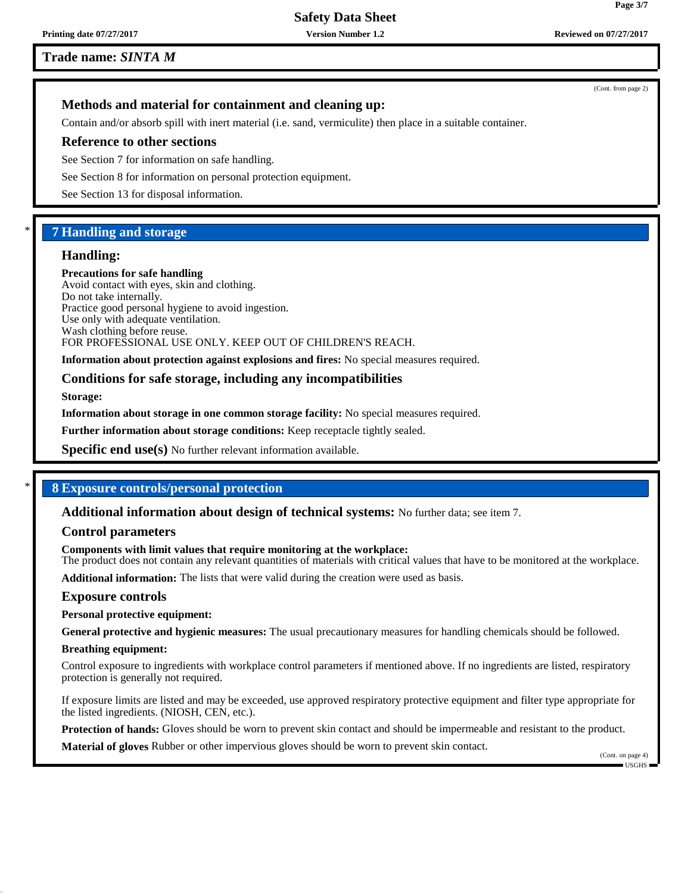**Trade name:** *SINTA M*

(Cont. from page 2)

## **Methods and material for containment and cleaning up:**

Contain and/or absorb spill with inert material (i.e. sand, vermiculite) then place in a suitable container.

#### **Reference to other sections**

See Section 7 for information on safe handling.

See Section 8 for information on personal protection equipment.

See Section 13 for disposal information.

## \* **7 Handling and storage**

## **Handling:**

**Precautions for safe handling** Avoid contact with eyes, skin and clothing. Do not take internally. Practice good personal hygiene to avoid ingestion. Use only with adequate ventilation. Wash clothing before reuse. FOR PROFESSIONAL USE ONLY. KEEP OUT OF CHILDREN'S REACH.

**Information about protection against explosions and fires:** No special measures required.

## **Conditions for safe storage, including any incompatibilities**

**Storage:**

**Information about storage in one common storage facility:** No special measures required.

**Further information about storage conditions:** Keep receptacle tightly sealed.

**Specific end use(s)** No further relevant information available.

## \* **8 Exposure controls/personal protection**

**Additional information about design of technical systems:** No further data; see item 7.

## **Control parameters**

**Components with limit values that require monitoring at the workplace:** The product does not contain any relevant quantities of materials with critical values that have to be monitored at the workplace.

**Additional information:** The lists that were valid during the creation were used as basis.

#### **Exposure controls**

**Personal protective equipment:**

**General protective and hygienic measures:** The usual precautionary measures for handling chemicals should be followed.

#### **Breathing equipment:**

Control exposure to ingredients with workplace control parameters if mentioned above. If no ingredients are listed, respiratory protection is generally not required.

If exposure limits are listed and may be exceeded, use approved respiratory protective equipment and filter type appropriate for the listed ingredients. (NIOSH, CEN, etc.).

**Protection of hands:** Gloves should be worn to prevent skin contact and should be impermeable and resistant to the product.

**Material of gloves** Rubber or other impervious gloves should be worn to prevent skin contact.

USGHS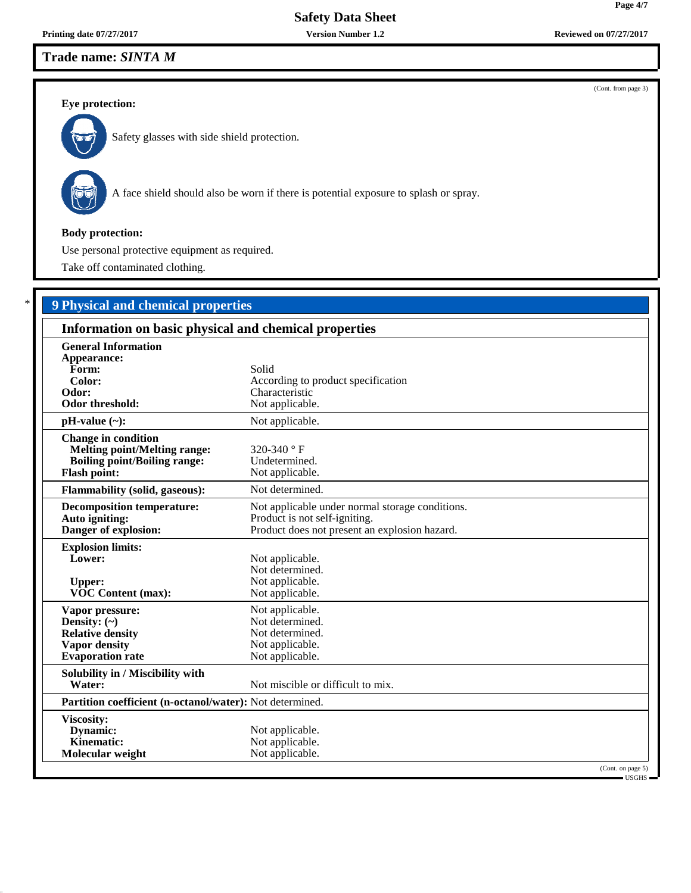## **Trade name:** *SINTA M*

## **Eye protection:**



Safety glasses with side shield protection.



A face shield should also be worn if there is potential exposure to splash or spray.

## **Body protection:**

Use personal protective equipment as required.

Take off contaminated clothing.

## \* **9 Physical and chemical properties**

| Information on basic physical and chemical properties                                                                           |                                                                                                                                   |  |
|---------------------------------------------------------------------------------------------------------------------------------|-----------------------------------------------------------------------------------------------------------------------------------|--|
| <b>General Information</b><br>Appearance:<br>Form:<br>Color:<br>Odor:<br><b>Odor threshold:</b>                                 | Solid<br>According to product specification<br>Characteristic<br>Not applicable.                                                  |  |
| $pH-value$ (~):                                                                                                                 | Not applicable.                                                                                                                   |  |
| <b>Change in condition</b><br><b>Melting point/Melting range:</b><br><b>Boiling point/Boiling range:</b><br><b>Flash point:</b> | 320-340 $\degree$ F<br>Undetermined.<br>Not applicable.                                                                           |  |
| <b>Flammability (solid, gaseous):</b>                                                                                           | Not determined.                                                                                                                   |  |
| <b>Decomposition temperature:</b><br>Auto igniting:<br>Danger of explosion:                                                     | Not applicable under normal storage conditions.<br>Product is not self-igniting.<br>Product does not present an explosion hazard. |  |
| <b>Explosion limits:</b><br>Lower:<br><b>Upper:</b><br><b>VOC Content (max):</b>                                                | Not applicable.<br>Not determined.<br>Not applicable.<br>Not applicable.                                                          |  |
| Vapor pressure:<br>Density: $(\sim)$<br><b>Relative density</b><br><b>Vapor density</b><br><b>Evaporation rate</b>              | Not applicable.<br>Not determined.<br>Not determined.<br>Not applicable.<br>Not applicable.                                       |  |
| Solubility in / Miscibility with<br>Water:                                                                                      | Not miscible or difficult to mix.                                                                                                 |  |
| Partition coefficient (n-octanol/water): Not determined.                                                                        |                                                                                                                                   |  |
| Viscosity:<br>Dynamic:<br>Kinematic:<br>Molecular weight                                                                        | Not applicable.<br>Not applicable.<br>Not applicable.<br>(Cont. on page 5)                                                        |  |
|                                                                                                                                 | - USGHS -                                                                                                                         |  |

(Cont. from page 3)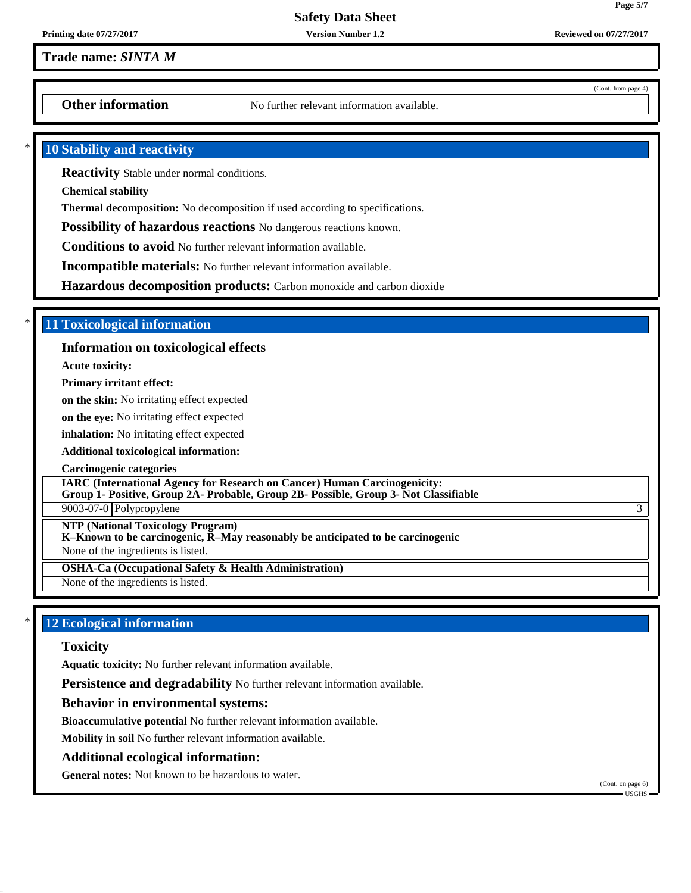## **Trade name:** *SINTA M*

**Other information** No further relevant information available.

## **10 Stability and reactivity**

**Reactivity** Stable under normal conditions.

**Chemical stability**

**Thermal decomposition:** No decomposition if used according to specifications.

**Possibility of hazardous reactions** No dangerous reactions known.

**Conditions to avoid** No further relevant information available.

**Incompatible materials:** No further relevant information available.

**Hazardous decomposition products:** Carbon monoxide and carbon dioxide

## \* **11 Toxicological information**

## **Information on toxicological effects**

**Acute toxicity:**

**Primary irritant effect:**

**on the skin:** No irritating effect expected

**on the eye:** No irritating effect expected

**inhalation:** No irritating effect expected

**Additional toxicological information:**

**Carcinogenic categories**

**IARC (International Agency for Research on Cancer) Human Carcinogenicity:**

**Group 1- Positive, Group 2A- Probable, Group 2B- Possible, Group 3- Not Classifiable**

 $9003-07-0$  Polypropylene  $\vert$ 3

**NTP (National Toxicology Program)**

**K–Known to be carcinogenic, R–May reasonably be anticipated to be carcinogenic**

None of the ingredients is listed.

**OSHA-Ca (Occupational Safety & Health Administration)**

None of the ingredients is listed.

## **12 Ecological information**

#### **Toxicity**

**Aquatic toxicity:** No further relevant information available.

**Persistence and degradability** No further relevant information available.

#### **Behavior in environmental systems:**

**Bioaccumulative potential** No further relevant information available.

**Mobility in soil** No further relevant information available.

#### **Additional ecological information:**

**General notes:** Not known to be hazardous to water.

(Cont. from page 4)

**Page 5/7**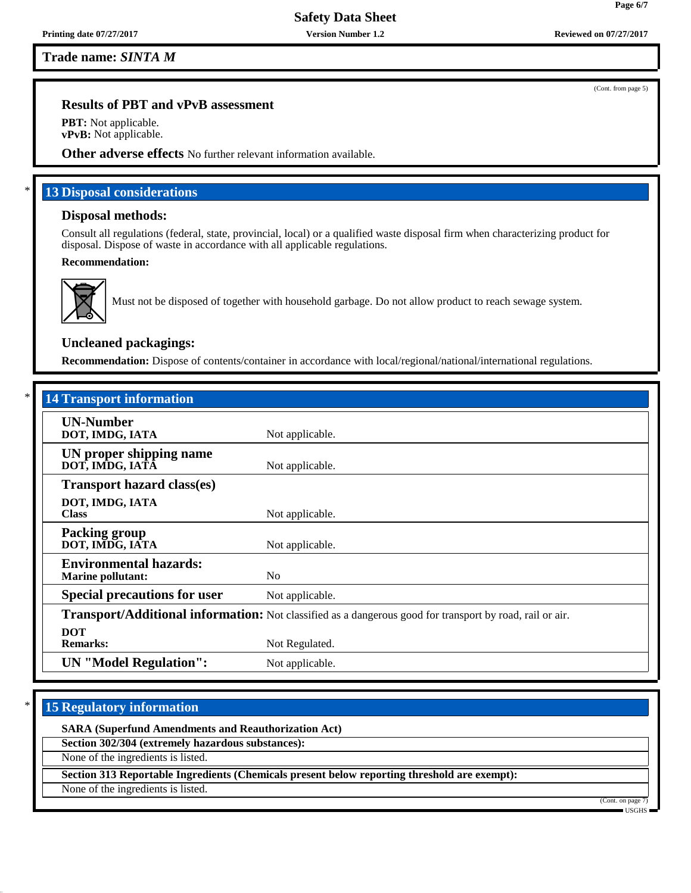**Trade name:** *SINTA M*

## **Results of PBT and vPvB assessment**

**PBT:** Not applicable. **vPvB:** Not applicable.

**Other adverse effects** No further relevant information available.

## **13 Disposal considerations**

### **Disposal methods:**

Consult all regulations (federal, state, provincial, local) or a qualified waste disposal firm when characterizing product for disposal. Dispose of waste in accordance with all applicable regulations.

#### **Recommendation:**



Must not be disposed of together with household garbage. Do not allow product to reach sewage system.

## **Uncleaned packagings:**

**Recommendation:** Dispose of contents/container in accordance with local/regional/national/international regulations.

| <b>14 Transport information</b>                           |                                                                                                          |
|-----------------------------------------------------------|----------------------------------------------------------------------------------------------------------|
| <b>UN-Number</b><br>DOT, IMDG, IATA                       | Not applicable.                                                                                          |
| UN proper shipping name<br>DOT, IMDG, IATÂ                | Not applicable.                                                                                          |
| <b>Transport hazard class(es)</b>                         |                                                                                                          |
| DOT, IMDG, IATA<br><b>Class</b>                           | Not applicable.                                                                                          |
| <b>Packing group</b><br>DOT, IMDG, IATA                   | Not applicable.                                                                                          |
| <b>Environmental hazards:</b><br><b>Marine pollutant:</b> | N <sub>0</sub>                                                                                           |
| <b>Special precautions for user</b>                       | Not applicable.                                                                                          |
|                                                           | Transport/Additional information: Not classified as a dangerous good for transport by road, rail or air. |
| <b>DOT</b><br><b>Remarks:</b>                             | Not Regulated.                                                                                           |
| <b>UN</b> "Model Regulation":                             | Not applicable.                                                                                          |

## **15 Regulatory information**

**SARA (Superfund Amendments and Reauthorization Act)**

**Section 302/304 (extremely hazardous substances):**

None of the ingredients is listed.

**Section 313 Reportable Ingredients (Chemicals present below reporting threshold are exempt):**

None of the ingredients is listed.

(Cont. on page 7) USGHS

(Cont. from page 5)

**Page 6/7**